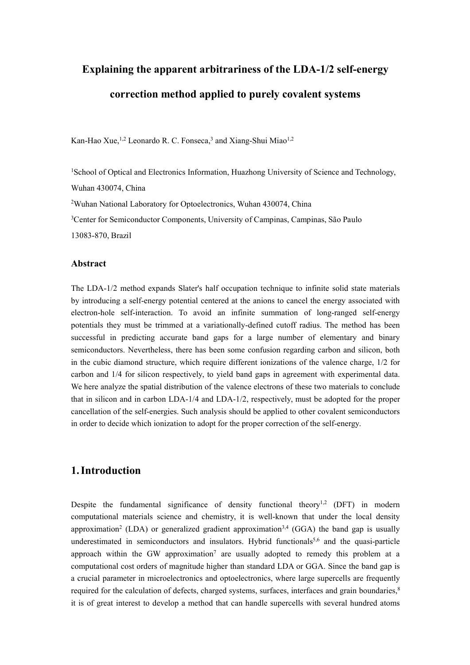# **Explaining the apparent arbitrariness of the LDA-1/2 self-energy correction method applied to purely covalent systems**

Kan-Hao Xue,<sup>1,2</sup> Leonardo R. C. Fonseca,<sup>3</sup> and Xiang-Shui Miao<sup>1,2</sup>

<sup>1</sup>School of Optical and Electronics Information, Huazhong University of Science and Technology, Wuhan 430074, China <sup>2</sup>Wuhan National Laboratory for Optoelectronics, Wuhan 430074, China

<sup>3</sup>Center for Semiconductor Components, University of Campinas, Campinas, São Paulo

13083-870, Brazil

#### **Abstract**

The LDA-1/2 method expands Slater's half occupation technique to infinite solid state materials by introducing a self-energy potential centered at the anions to cancel the energy associated with electron-hole self-interaction. To avoid an infinite summation of long-ranged self-energy potentials they must be trimmed at a variationally-defined cutoff radius. The method has been successful in predicting accurate band gaps for a large number of elementary and binary semiconductors. Nevertheless, there has been some confusion regarding carbon and silicon, both in the cubic diamond structure, which require different ionizations of the valence charge, 1/2 for carbon and  $1/4$  for silicon respectively, to yield band gaps in agreement with experimental data. We here analyze the spatial distribution of the valence electrons of these two materials to conclude that in silicon and in carbon LDA-1/4 and LDA-1/2, respectively, must be adopted for the proper cancellation of the self-energies. Such analysis should be applied to other covalent semiconductors in order to decide which ionization to adopt for the proper correction of the self-energy.

# **1.Introduction**

Despite the fundamental significance of density functional theory<sup>1,2</sup> (DFT) in modern computational materials science and chemistry, it is well-known that under the local density approximation<sup>2</sup> (LDA) or generalized gradient approximation<sup>3,4</sup> (GGA) the band gap is usually underestimated in semiconductors and insulators. Hybrid functionals<sup>5,6</sup> and the quasi-particle approach within the GW approximation<sup>7</sup> are usually adopted to remedy this problem at a computational cost orders of magnitude higher than standard LDA or GGA. Since the band gap is a crucial parameter in microelectronics and optoelectronics, where large supercells are frequently required for the calculation of defects, charged systems, surfaces, interfaces and grain boundaries,<sup>8</sup> it is of great interest to develop a method that can handle supercells with several hundred atoms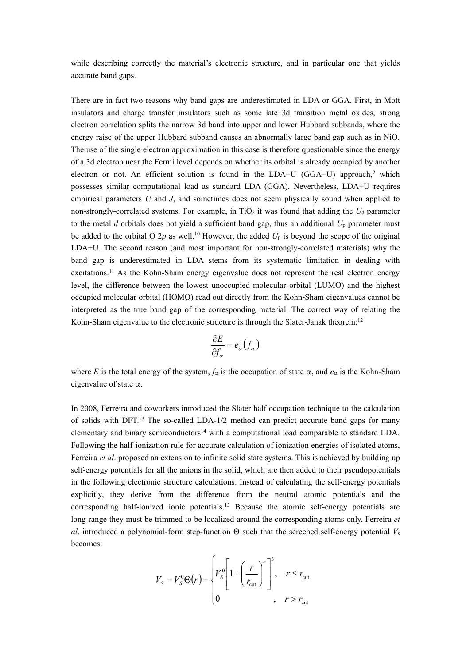while describing correctly the material's electronic structure, and in particular one that yields accurate band gaps.

There are in fact two reasons why band gaps are underestimated in LDA or GGA. First, in Mott insulators and charge transfer insulators such as some late 3d transition metal oxides, strong electron correlation splits the narrow 3d band into upper and lower Hubbard subbands, where the energy raise of the upper Hubbard subband causes an abnormally large band gap such as in NiO. The use of the single electron approximation in this case is therefore questionable since the energy of a 3d electron near the Fermi level depends on whether its orbital is already occupied by another electron or not. An efficient solution is found in the  $LDA+U$  (GGA+U) approach,<sup>9</sup> which possesses similar computational load as standard LDA (GGA). Nevertheless, LDA+U requires empirical parameters *U* and *J*, and sometimes does not seem physically sound when applied to non-strongly-correlated systems. For example, in TiO<sub>2</sub> it was found that adding the *U*<sub>d</sub> parameter to the metal *d* orbitals does not yield a sufficient band gap, thus an additional  $U_p$  parameter must be added to the orbital O 2p as well.<sup>10</sup> However, the added  $U_p$  is beyond the scope of the original LDA+U. The second reason (and most important for non-strongly-correlated materials) why the band gap is underestimated in LDA stems from its systematic limitation in dealing with excitations.<sup>11</sup> As the Kohn-Sham energy eigenvalue does not represent the real electron energy level, the difference between the lowest unoccupied molecular orbital (LUMO) and the highest occupied molecular orbital (HOMO) read out directly from the Kohn-Sham eigenvalues cannot be interpreted as the true band gap of the corresponding material. The correct way of relating the Kohn-Sham eigenvalue to the electronic structure is through the Slater-Janak theorem:<sup>12</sup>

$$
\frac{\partial E}{\partial f_{\alpha}} = e_{\alpha}(f_{\alpha})
$$

where *E* is the total energy of the system,  $f_\alpha$  is the occupation of state  $\alpha$ , and  $e_\alpha$  is the Kohn-Sham eigenvalue of state  $\alpha$ .

In 2008, Ferreira and coworkers introduced the Slater half occupation technique to the calculation of solids with DFT.<sup>13</sup> The so-called LDA-1/2 method can predict accurate band gaps for many elementary and binary semiconductors<sup>14</sup> with a computational load comparable to standard LDA. Following the half-ionization rule for accurate calculation of ionization energies of isolated atoms, Ferreira *et al*. proposed an extension to infinite solid state systems.This is achieved by building up self-energy potentials for all the anions in the solid, which are then added to their pseudopotentials in the following electronic structure calculations. Instead of calculating the self-energy potentials explicitly, they derive from the difference from the neutral atomic potentials and the corresponding half-ionized ionic potentials.<sup>13</sup> Because the atomic self-energy potentials are long-range they must be trimmed to be localized around the corresponding atoms only. Ferreira *et al*. introduced a polynomial-form step-function  $\Theta$  such that the screened self-energy potential  $V_s$ becomes:

$$
V_{S} = V_{S}^{0} \Theta(r) = \begin{cases} V_{S}^{0} \left[ 1 - \left(\frac{r}{r_{\text{cut}}} \right)^{n} \right]^{3}, & r \leq r_{\text{cut}} \\ 0 & , r > r_{\text{cut}} \end{cases}
$$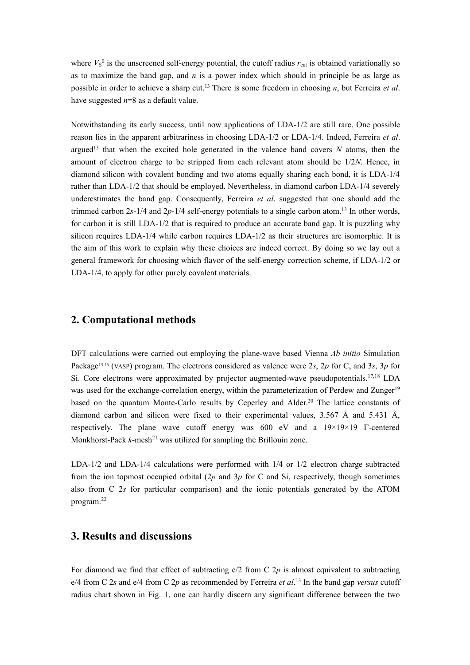where  $V_s^0$  is the unscreened self-energy potential, the cutoff radius  $r_{\text{cut}}$  is obtained variationally so as to maximize the band gap, and  $n$  is a power index which should in principle be as large as possible in order to achieve a sharp cut.<sup>13</sup> There is some freedom in choosing *n*, but Ferreira *et al*. have suggested *n*=8 as a default value.

Notwithstanding its early success, until now applications of LDA-1/2 are still rare. One possible reason lies in the apparent arbitrariness in choosing LDA-1/2 or LDA-1/4. Indeed, Ferreira *et al*. argued<sup>13</sup> that when the excited hole generated in the valence band covers  $N$  atoms, then the amount of electron charge to be stripped from each relevant atom should be 1/2*N*. Hence, in diamond silicon with covalent bonding and two atoms equally sharing each bond, it is LDA-1/4 rather than LDA-1/2 that should be employed. Nevertheless, in diamond carbon LDA-1/4 severely underestimates the band gap. Consequently, Ferreira *et al*. suggested that one should add the trimmed carbon 2*s*-1/4 and 2*p*-1/4 self-energy potentials to a single carbon atom.<sup>13</sup> In other words, for carbon it is still LDA-1/2 that is required to produce an accurate band gap. It is puzzling why silicon requires LDA-1/4 while carbon requires LDA-1/2 as their structures are isomorphic. It is the aim of this work to explain why these choices are indeed correct. By doing so we lay out a general framework for choosing which flavor of the self-energy correction scheme, if LDA-1/2 or LDA-1/4, to apply for other purely covalent materials.

#### **2. Computational methods**

DFT calculations were carried out employing the plane-wave based Vienna *Ab initio* Simulation Package15,16 (VASP) program. The electrons considered as valence were 2*s*, 2*p* for C, and 3*s*, 3*p* for Si. Core electrons were approximated by projector augmented-wave pseudopotentials.17,18 LDA was used for the exchange-correlation energy, within the parameterization of Perdew and Zunger<sup>19</sup> based on the quantum Monte-Carlo results by Ceperley and Alder.<sup>20</sup> The lattice constants of diamond carbon and silicon were fixed to their experimental values, 3.567 Å and 5.431 Å, respectively. The plane wave cutoff energy was  $600 \text{ eV}$  and a  $19 \times 19 \times 19$   $\Gamma$ -centered Monkhorst-Pack  $k$ -mesh<sup>21</sup> was utilized for sampling the Brillouin zone.

LDA-1/2 and LDA-1/4 calculations were performed with 1/4 or 1/2 electron charge subtracted from the ion topmost occupied orbital (2*p* and 3*p* for C and Si, respectively, though sometimes also from C 2*s* for particular comparison) and the ionic potentials generated by the ATOM program.<sup>22</sup>

## **3. Results and discussions**

For diamond we find that effect of subtracting  $e/2$  from C  $2p$  is almost equivalent to subtracting e/4 from C 2*s* and e/4 from C 2*p* as recommended by Ferreira *et al*.<sup>13</sup> In the band gap *versus* cutoff radius chart shown in Fig. 1, one can hardly discern any significant difference between the two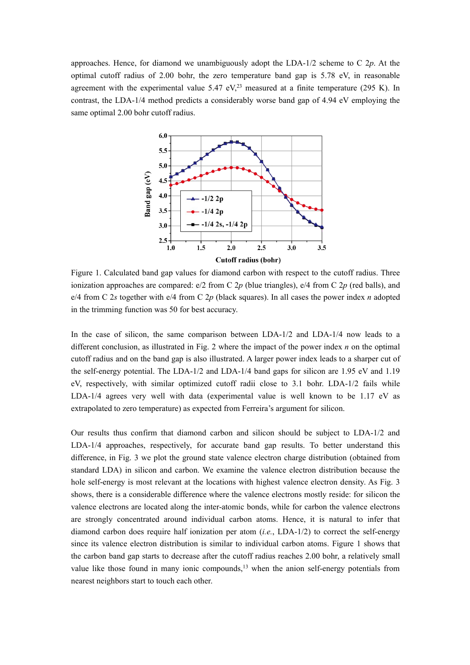approaches. Hence, for diamond we unambiguously adopt the LDA-1/2 scheme to C 2*p*. At the optimal cutoff radius of 2.00 bohr, the zero temperature band gap is  $5.78$  eV, in reasonable agreement with the experimental value 5.47 eV, $^{23}$  measured at a finite temperature (295 K). In contrast, the LDA-1/4 method predicts a considerably worse band gap of 4.94 eV employing the same optimal 2.00 bohr cutoff radius.



Figure 1. Calculated band gap values for diamond carbon with respect to the cutoff radius. Three ionization approaches are compared:  $e/2$  from C 2p (blue triangles),  $e/4$  from C 2p (red balls), and e/4 from C 2*s* together with e/4 from C 2*p* (black squares). In all cases the power index *n* adopted in the trimming function was 50 for best accuracy.

In the case of silicon, the same comparison between LDA-1/2 and LDA-1/4 now leads to a different conclusion, as illustrated in Fig. 2 where the impact of the power index *n* on the optimal cutoff radius and on the band gap is also illustrated. A larger power index leads to a sharper cut of the self-energy potential. The LDA-1/2 and LDA-1/4 band gaps for silicon are 1.95 eV and 1.19 eV, respectively, with similar optimized cutoff radii close to 3.1 bohr. LDA-1/2 fails while LDA-1/4 agrees very well with data (experimental value is well known to be 1.17 eV as extrapolated to zero temperature) as expected from Ferreira's argument for silicon.

Our results thus confirm that diamond carbon and silicon should be subject to LDA-1/2 and LDA-1/4 approaches, respectively, for accurate band gap results. To better understand this difference, in Fig. 3 we plot the ground state valence electron charge distribution (obtained from standard LDA) in silicon and carbon. We examine the valence electron distribution because the hole self-energy is most relevant at the locations with highest valence electron density. As Fig. 3 shows, there is a considerable difference where the valence electrons mostly reside: for silicon the valence electrons are located along the inter-atomic bonds, while for carbon the valence electrons are strongly concentrated around individual carbon atoms. Hence, it is natural to infer that diamond carbon does require half ionization per atom (*i.e.*, LDA-1/2) to correct the self-energy since its valence electron distribution is similar to individual carbon atoms. Figure 1 shows that the carbon band gap starts to decrease after the cutoff radius reaches 2.00 bohr, a relatively small value like those found in many ionic compounds,<sup>13</sup> when the anion self-energy potentials from nearest neighbors start to touch each other.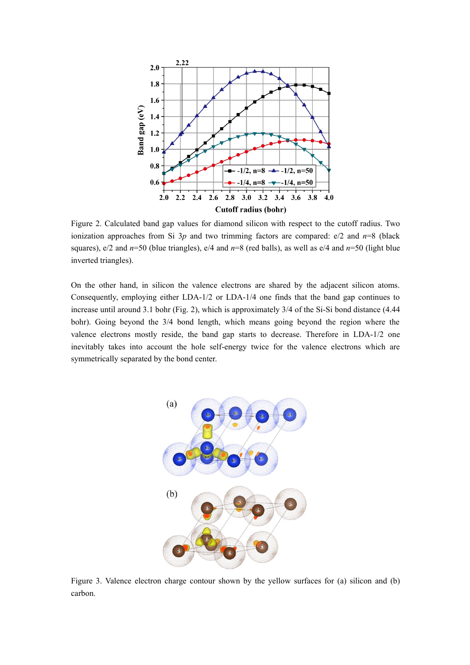

Figure 2. Calculated band gap values for diamond silicon with respect to the cutoff radius. Two ionization approaches from Si 3*p* and two trimming factors are compared: e/2 and *n*=8 (black squares), e/2 and *n*=50 (blue triangles), e/4 and *n*=8 (red balls), as well as e/4 and *n*=50 (light blue inverted triangles).

On the other hand, in silicon the valence electrons are shared by the adjacent silicon atoms. Consequently, employing either LDA-1/2 or LDA-1/4 one finds that the band gap continues to increase until around 3.1 bohr (Fig. 2), which is approximately 3/4 of the Si-Si bond distance (4.44 bohr). Going beyond the 3/4 bond length, which means going beyond the region where the valence electrons mostly reside, the band gap starts to decrease. Therefore in LDA-1/2 one inevitably takes into account the hole self-energy twice for the valence electrons which are symmetrically separated by the bond center.



Figure 3. Valence electron charge contour shown by the yellow surfaces for (a) silicon and (b) carbon.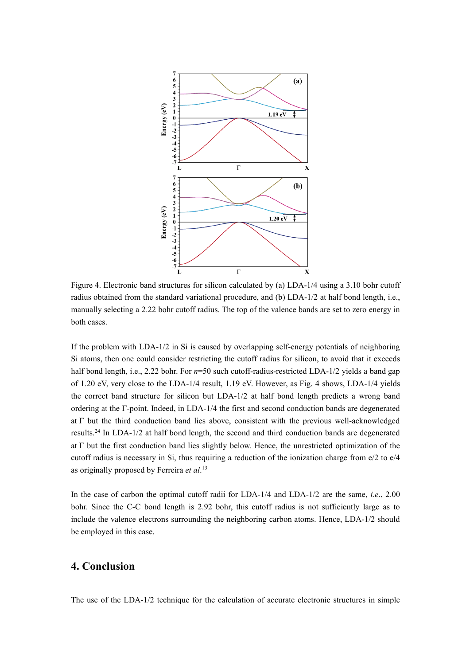

Figure 4. Electronic band structures for silicon calculated by (a) LDA-1/4 using a 3.10 bohr cutoff radius obtained from the standard variational procedure, and (b) LDA-1/2 at half bond length, i.e., manually selecting a 2.22 bohr cutoff radius. The top of the valence bands are set to zero energy in both cases.

If the problem with LDA-1/2 in Si iscaused by overlapping self-energy potentials of neighboring Si atoms, then one could consider restricting the cutoff radius for silicon, to avoid that it exceeds half bond length, i.e., 2.22 bohr. For  $n=50$  such cutoff-radius-restricted LDA-1/2 yields a band gap of 1.20 eV, very close to the LDA-1/4 result, 1.19 eV. However, as Fig. 4 shows, LDA-1/4 yields the correct band structure for silicon but  $LDA-1/2$  at half bond length predicts a wrong band ordering at the  $\Gamma$ -point. Indeed, in LDA-1/4 the first and second conduction bands are degenerated at  $\Gamma$  but the third conduction band lies above, consistent with the previous well-acknowledged results.<sup>24</sup> In LDA-1/2 at half bond length, the second and third conduction bands are degenerated at  $\Gamma$  but the first conduction band lies slightly below. Hence, the unrestricted optimization of the cutoff radius is necessary in Si, thus requiring a reduction of the ionization charge from e/2 to e/4 as originally proposed by Ferreira *et al*.<sup>13</sup>

In the case of carbon the optimal cutoff radii for LDA-1/4 and LDA-1/2 are the same, *i.e*., 2.00 bohr. Since the C-C bond length is 2.92 bohr, this cutoff radius is not sufficiently large as to include the valence electrons surrounding the neighboring carbon atoms. Hence, LDA-1/2 should be employed in this case.

## **4. Conclusion**

The use of the LDA-1/2 technique for the calculation of accurate electronic structures in simple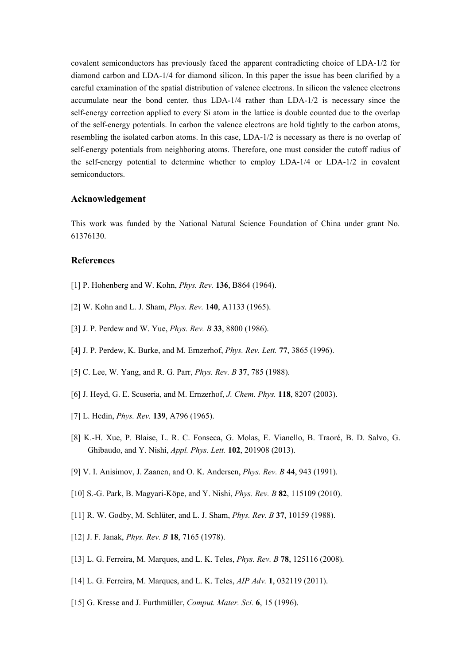covalent semiconductors has previously faced the apparent contradicting choice of LDA-1/2 for diamond carbon and LDA-1/4 for diamond silicon. In this paper the issue has been clarified by a careful examination of the spatial distribution of valence electrons. In silicon the valence electrons accumulate near the bond center, thus LDA-1/4 rather than LDA-1/2 is necessary since the self-energy correction applied to every Si atom in the lattice is double counted due to the overlap of the self-energy potentials. In carbon the valence electrons are hold tightly to the carbon atoms, resembling the isolated carbon atoms. In this case, LDA-1/2 is necessary as there is no overlap of self-energy potentials from neighboring atoms. Therefore, one must consider the cutoff radius of the self-energy potential to determine whether to employ LDA-1/4 or LDA-1/2 in covalent semiconductors.

#### **Acknowledgement**

This work was funded by the National Natural Science Foundation of China under grant No. 61376130.

#### **References**

- [1] P. Hohenberg and W. Kohn, *Phys. Rev.* **136**, B864 (1964).
- [2] W. Kohn and L. J. Sham, *Phys. Rev.* **140**, A1133 (1965).
- [3] J. P. Perdew and W. Yue, *Phys. Rev. B* **33**, 8800 (1986).
- [4] J. P. Perdew, K. Burke, and M. Ernzerhof, *Phys. Rev. Lett.* **77**, 3865 (1996).
- [5] C. Lee, W. Yang, and R. G. Parr, *Phys. Rev. B* **37**, 785 (1988).
- [6] J. Heyd, G. E. Scuseria, and M. Ernzerhof, *J. Chem. Phys.* **118**, 8207 (2003).
- [7] L. Hedin, *Phys. Rev.* **139**, A796 (1965).
- [8] K.-H. Xue, P. Blaise, L. R. C. Fonseca, G. Molas, E. Vianello, B. Traoré, B. D. Salvo, G. Ghibaudo, and Y. Nishi, *Appl. Phys. Lett.* **102**, 201908 (2013).
- [9] V. I. Anisimov, J. Zaanen, and O. K. Andersen, *Phys. Rev. B* **44**, 943 (1991).
- [10] S.-G. Park, B. Magyari-Köpe, and Y. Nishi, *Phys. Rev. B* **82**, 115109 (2010).
- [11] R. W. Godby, M. Schlüter, and L. J. Sham,*Phys. Rev. B* **37**, 10159 (1988).
- [12] J. F. Janak, *Phys. Rev. B* **18**, 7165 (1978).
- [13] L. G. Ferreira, M. Marques, and L. K. Teles, *Phys. Rev. B* **78**, 125116 (2008).
- [14] L. G. Ferreira, M. Marques, and L. K. Teles, *AIP Adv.* **1**, 032119 (2011).
- [15] G. Kresse and J. Furthmüller, *Comput. Mater. Sci.* **6**, 15 (1996).